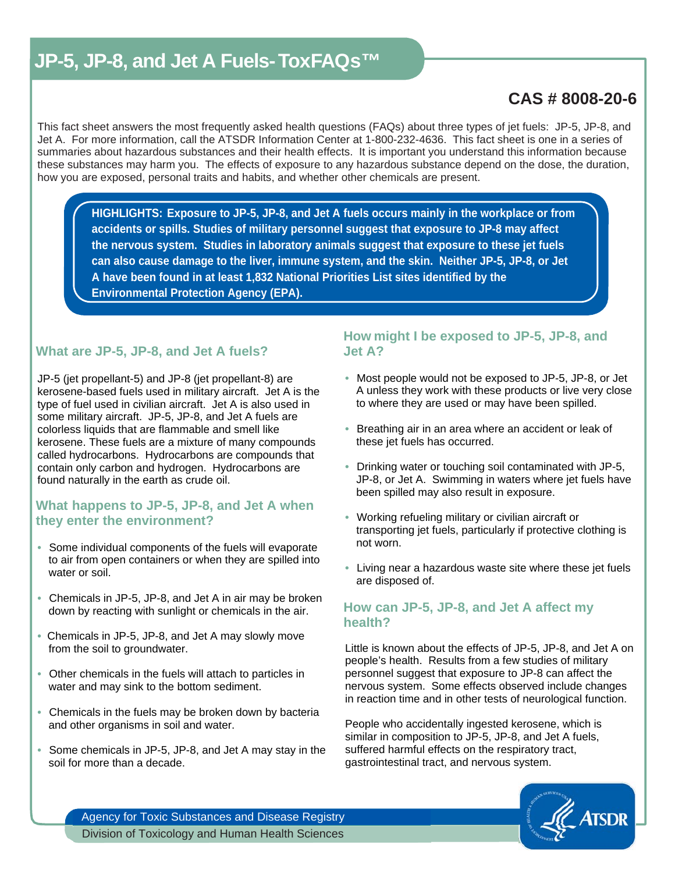# **CAS # 8008-20-6**

 This fact sheet answers the most frequently asked health questions (FAQs) about three types of jet fuels: JP-5, JP-8, and Jet A. For more information, call the ATSDR Information Center at 1-800-232-4636. This fact sheet is one in a series of summaries about hazardous substances and their health effects. It is important you understand this information because these substances may harm you. The effects of exposure to any hazardous substance depend on the dose, the duration, how you are exposed, personal traits and habits, and whether other chemicals are present.

**HIGHLIGHTS: Exposure to JP-5, JP-8, and Jet A fuels occurs mainly in the workplace or from accidents or spills. Studies of military personnel suggest that exposure to JP-8 may affect the nervous system. Studies in laboratory animals suggest that exposure to these jet fuels can also cause damage to the liver, immune system, and the skin. Neither JP-5, JP-8, or Jet A have been found in at least 1,832 National Priorities List sites identified by the Environmental Protection Agency (EPA).** 

# **What are JP-5, JP-8, and Jet A fuels?**

JP-5 (jet propellant-5) and JP-8 (jet propellant-8) are kerosene-based fuels used in military aircraft. Jet A is the type of fuel used in civilian aircraft. Jet A is also used in some military aircraft. JP-5, JP-8, and Jet A fuels are colorless liquids that are flammable and smell like kerosene. These fuels are a mixture of many compounds called hydrocarbons. Hydrocarbons are compounds that contain only carbon and hydrogen. Hydrocarbons are found naturally in the earth as crude oil.

## **What happens to JP-5, JP-8, and Jet A when they enter the environment?**

- Some individual components of the fuels will evaporate to air from open containers or when they are spilled into water or soil.
- Chemicals in JP-5, JP-8, and Jet A in air may be broken down by reacting with sunlight or chemicals in the air.
- Chemicals in JP-5, JP-8, and Jet A may slowly move from the soil to groundwater.
- Other chemicals in the fuels will attach to particles in water and may sink to the bottom sediment.
- Chemicals in the fuels may be broken down by bacteria and other organisms in soil and water.
- Some chemicals in JP-5, JP-8, and Jet A may stay in the soil for more than a decade.

# **How might I be exposed to JP-5, JP-8, and Jet A?**

- Most people would not be exposed to JP-5, JP-8, or Jet A unless they work with these products or live very close to where they are used or may have been spilled.
- Breathing air in an area where an accident or leak of these jet fuels has occurred.
- Drinking water or touching soil contaminated with JP-5, JP-8, or Jet A. Swimming in waters where jet fuels have been spilled may also result in exposure.
- Working refueling military or civilian aircraft or transporting jet fuels, particularly if protective clothing is not worn.
- Living near a hazardous waste site where these jet fuels are disposed of.

## **How can JP-5, JP-8, and Jet A affect my health?**

Little is known about the effects of JP-5, JP-8, and Jet A on people's health. Results from a few studies of military personnel suggest that exposure to JP-8 can affect the nervous system. Some effects observed include changes in reaction time and in other tests of neurological function.

People who accidentally ingested kerosene, which is similar in composition to JP-5, JP-8, and Jet A fuels, suffered harmful effects on the respiratory tract, gastrointestinal tract, and nervous system.



Agency for Toxic Substances and Disease Registry Division of Toxicology and Human Health Sciences